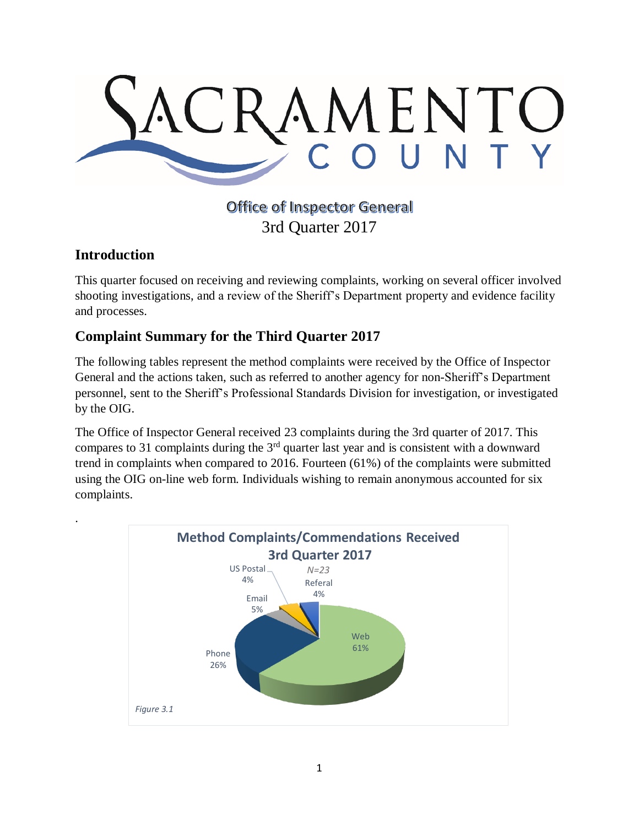

# **Office of Inspector General** 3rd Quarter 2017

## **Introduction**

.

This quarter focused on receiving and reviewing complaints, working on several officer involved shooting investigations, and a review of the Sheriff's Department property and evidence facility and processes.

# **Complaint Summary for the Third Quarter 2017**

The following tables represent the method complaints were received by the Office of Inspector General and the actions taken, such as referred to another agency for non-Sheriff's Department personnel, sent to the Sheriff's Professional Standards Division for investigation, or investigated by the OIG.

The Office of Inspector General received 23 complaints during the 3rd quarter of 2017. This compares to 31 complaints during the  $3<sup>rd</sup>$  quarter last year and is consistent with a downward trend in complaints when compared to 2016. Fourteen (61%) of the complaints were submitted using the OIG on-line web form. Individuals wishing to remain anonymous accounted for six complaints.